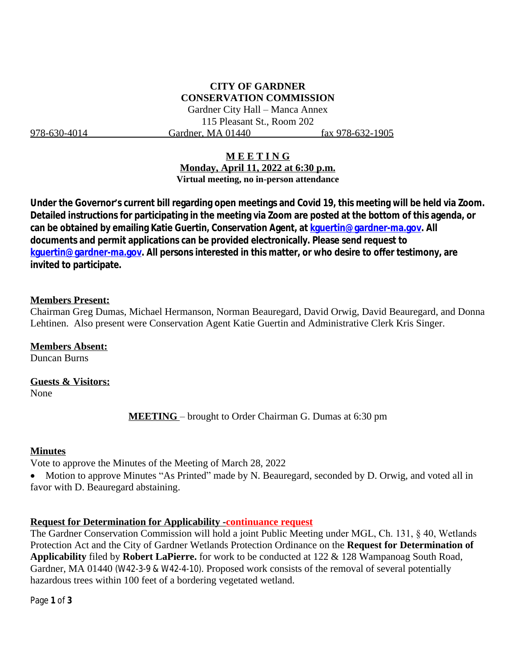# **CITY OF GARDNER CONSERVATION COMMISSION**

Gardner City Hall – Manca Annex 115 Pleasant St., Room 202 978-630-4014 Gardner, MA 01440 fax 978-632-1905

### **M E E T I N G**

**Monday, April 11, 2022 at 6:30 p.m. Virtual meeting, no in-person attendance**

**Under the Governor's current bill regarding open meetings and Covid 19, this meeting will be held via Zoom. Detailed instructions for participating in the meeting via Zoom are posted at the bottom of this agenda, or can be obtained by emailing Katie Guertin, Conservation Agent, at [kguertin@gardner-ma.gov. All](mailto:kguertin@gardner-ma.gov)  [documents and permit applications can be provided electronically. Please send request to](mailto:kguertin@gardner-ma.gov)  [kguertin@gardner-ma.gov.](mailto:kguertin@gardner-ma.gov) All persons interested in this matter, or who desire to offer testimony, are invited to participate.**

#### **Members Present:**

Chairman Greg Dumas, Michael Hermanson, Norman Beauregard, David Orwig, David Beauregard, and Donna Lehtinen. Also present were Conservation Agent Katie Guertin and Administrative Clerk Kris Singer.

**Members Absent:**

Duncan Burns

**Guests & Visitors:**

None

**MEETING** – brought to Order Chairman G. Dumas at 6:30 pm

#### **Minutes**

Vote to approve the Minutes of the Meeting of March 28, 2022

• Motion to approve Minutes "As Printed" made by N. Beauregard, seconded by D. Orwig, and voted all in favor with D. Beauregard abstaining.

### **Request for Determination for Applicability -continuance request**

The Gardner Conservation Commission will hold a joint Public Meeting under MGL, Ch. 131, § 40, Wetlands Protection Act and the City of Gardner Wetlands Protection Ordinance on the **Request for Determination of Applicability** filed by **Robert LaPierre.** for work to be conducted at 122 & 128 Wampanoag South Road, Gardner, MA 01440 (W42-3-9 & W42-4-10). Proposed work consists of the removal of several potentially hazardous trees within 100 feet of a bordering vegetated wetland.

Page **1** of **3**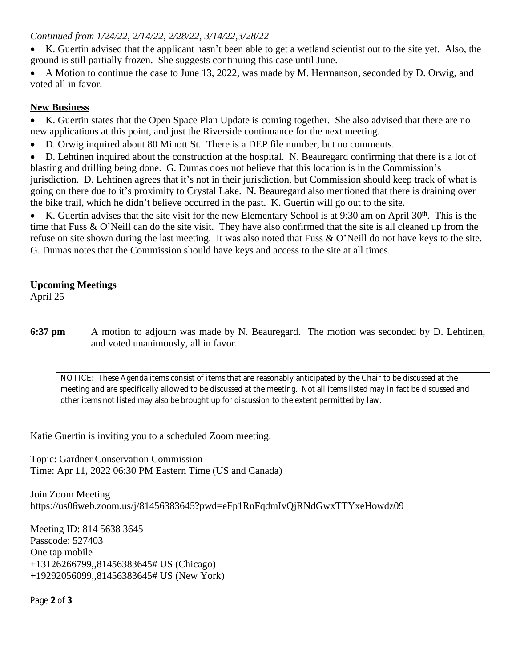### *Continued from 1/24/22, 2/14/22, 2/28/22, 3/14/22,3/28/22*

- K. Guertin advised that the applicant hasn't been able to get a wetland scientist out to the site yet. Also, the ground is still partially frozen. She suggests continuing this case until June.
- A Motion to continue the case to June 13, 2022, was made by M. Hermanson, seconded by D. Orwig, and voted all in favor.

# **New Business**

 K. Guertin states that the Open Space Plan Update is coming together. She also advised that there are no new applications at this point, and just the Riverside continuance for the next meeting.

- D. Orwig inquired about 80 Minott St. There is a DEP file number, but no comments.
- D. Lehtinen inquired about the construction at the hospital. N. Beauregard confirming that there is a lot of blasting and drilling being done. G. Dumas does not believe that this location is in the Commission's jurisdiction. D. Lehtinen agrees that it's not in their jurisdiction, but Commission should keep track of what is going on there due to it's proximity to Crystal Lake. N. Beauregard also mentioned that there is draining over the bike trail, which he didn't believe occurred in the past. K. Guertin will go out to the site.

K. Guertin advises that the site visit for the new Elementary School is at 9:30 am on April  $30<sup>th</sup>$ . This is the time that Fuss & O'Neill can do the site visit. They have also confirmed that the site is all cleaned up from the refuse on site shown during the last meeting. It was also noted that Fuss & O'Neill do not have keys to the site. G. Dumas notes that the Commission should have keys and access to the site at all times.

# **Upcoming Meetings**

April 25

**6:37 pm** A motion to adjourn was made by N. Beauregard. The motion was seconded by D. Lehtinen, and voted unanimously, all in favor.

*NOTICE: These Agenda items consist of items that are reasonably anticipated by the Chair to be discussed at the meeting and are specifically allowed to be discussed at the meeting. Not all items listed may in fact be discussed and other items not listed may also be brought up for discussion to the extent permitted by law.*

Katie Guertin is inviting you to a scheduled Zoom meeting.

Topic: Gardner Conservation Commission Time: Apr 11, 2022 06:30 PM Eastern Time (US and Canada)

Join Zoom Meeting https://us06web.zoom.us/j/81456383645?pwd=eFp1RnFqdmIvQjRNdGwxTTYxeHowdz09

Meeting ID: 814 5638 3645 Passcode: 527403 One tap mobile +13126266799,,81456383645# US (Chicago) +19292056099,,81456383645# US (New York)

Page **2** of **3**